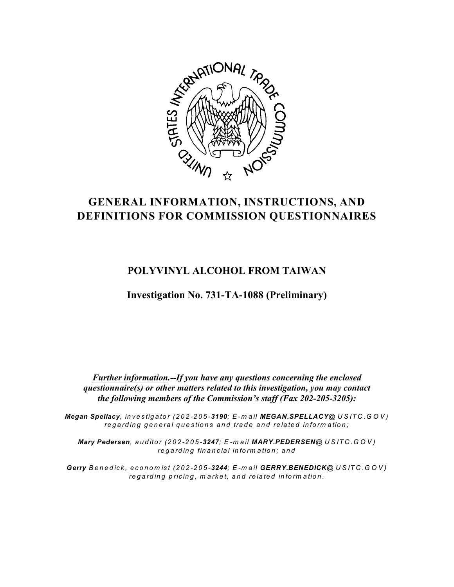

# **GENERAL INFORMATION, INSTRUCTIONS, AND DEFINITIONS FOR COMMISSION QUESTIONNAIRES**

# **POLYVINYL ALCOHOL FROM TAIWAN**

**Investigation No. 731-TA-1088 (Preliminary)**

*Further information.--If you have any questions concerning the enclosed questionnaire(s) or other matters related to this investigation, you may contact the following members of the Commission's staff (Fax 202-205-3205):*

*Megan Spellacy, in v e s tigato r (202-205-3190; E -m a il MEGAN.SPELLACY@ U S IT C .G O V )* regarding general questions and trade and related information;

*Mary Pedersen, aud ito r (202-205-3247; E -m a il MARY.PEDERSEN@ U S IT C .G O V ) re g a rd in g fin a n c ia l in fo rm a tio n ; a n d*

Gerry Benedick, economist (202-205-3244; E-mail GERRY.BENEDICK@USITC.GOV) regarding pricing, market, and related information.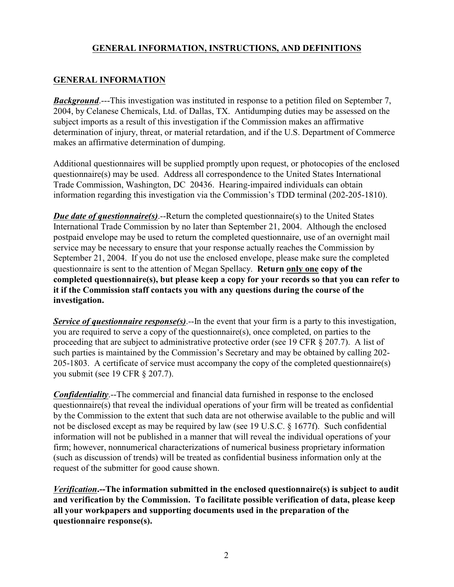### **GENERAL INFORMATION**

*Background*.---This investigation was instituted in response to a petition filed on September 7, 2004, by Celanese Chemicals, Ltd. of Dallas, TX. Antidumping duties may be assessed on the subject imports as a result of this investigation if the Commission makes an affirmative determination of injury, threat, or material retardation, and if the U.S. Department of Commerce makes an affirmative determination of dumping.

Additional questionnaires will be supplied promptly upon request, or photocopies of the enclosed questionnaire(s) may be used. Address all correspondence to the United States International Trade Commission, Washington, DC 20436. Hearing-impaired individuals can obtain information regarding this investigation via the Commission's TDD terminal (202-205-1810).

*Due date of questionnaire(s)*.--Return the completed questionnaire(s) to the United States International Trade Commission by no later than September 21, 2004. Although the enclosed postpaid envelope may be used to return the completed questionnaire, use of an overnight mail service may be necessary to ensure that your response actually reaches the Commission by September 21, 2004. If you do not use the enclosed envelope, please make sure the completed questionnaire is sent to the attention of Megan Spellacy. **Return only one copy of the completed questionnaire(s), but please keep a copy for your records so that you can refer to it if the Commission staff contacts you with any questions during the course of the investigation.**

*Service of questionnaire response(s)*.--In the event that your firm is a party to this investigation, you are required to serve a copy of the questionnaire(s), once completed, on parties to the proceeding that are subject to administrative protective order (see 19 CFR § 207.7). A list of such parties is maintained by the Commission's Secretary and may be obtained by calling 202- 205-1803. A certificate of service must accompany the copy of the completed questionnaire(s) you submit (see 19 CFR § 207.7).

*Confidentiality*.--The commercial and financial data furnished in response to the enclosed questionnaire(s) that reveal the individual operations of your firm will be treated as confidential by the Commission to the extent that such data are not otherwise available to the public and will not be disclosed except as may be required by law (see 19 U.S.C. § 1677f). Such confidential information will not be published in a manner that will reveal the individual operations of your firm; however, nonnumerical characterizations of numerical business proprietary information (such as discussion of trends) will be treated as confidential business information only at the request of the submitter for good cause shown.

*Verification***.--The information submitted in the enclosed questionnaire(s) is subject to audit and verification by the Commission. To facilitate possible verification of data, please keep all your workpapers and supporting documents used in the preparation of the questionnaire response(s).**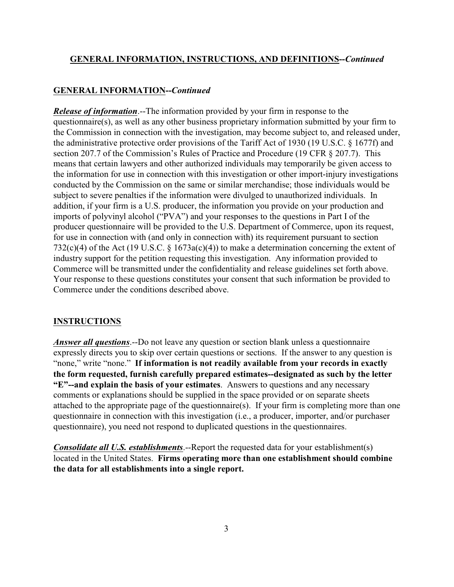#### **GENERAL INFORMATION--***Continued*

*Release of information*.--The information provided by your firm in response to the questionnaire(s), as well as any other business proprietary information submitted by your firm to the Commission in connection with the investigation, may become subject to, and released under, the administrative protective order provisions of the Tariff Act of 1930 (19 U.S.C. § 1677f) and section 207.7 of the Commission's Rules of Practice and Procedure (19 CFR § 207.7). This means that certain lawyers and other authorized individuals may temporarily be given access to the information for use in connection with this investigation or other import-injury investigations conducted by the Commission on the same or similar merchandise; those individuals would be subject to severe penalties if the information were divulged to unauthorized individuals. In addition, if your firm is a U.S. producer, the information you provide on your production and imports of polyvinyl alcohol ("PVA") and your responses to the questions in Part I of the producer questionnaire will be provided to the U.S. Department of Commerce, upon its request, for use in connection with (and only in connection with) its requirement pursuant to section 732(c)(4) of the Act (19 U.S.C.  $\S$  1673a(c)(4)) to make a determination concerning the extent of industry support for the petition requesting this investigation. Any information provided to Commerce will be transmitted under the confidentiality and release guidelines set forth above. Your response to these questions constitutes your consent that such information be provided to Commerce under the conditions described above.

#### **INSTRUCTIONS**

*Answer all questions*.--Do not leave any question or section blank unless a questionnaire expressly directs you to skip over certain questions or sections. If the answer to any question is "none," write "none." **If information is not readily available from your records in exactly the form requested, furnish carefully prepared estimates--designated as such by the letter "E"--and explain the basis of your estimates**. Answers to questions and any necessary comments or explanations should be supplied in the space provided or on separate sheets attached to the appropriate page of the questionnaire(s). If your firm is completing more than one questionnaire in connection with this investigation (i.e., a producer, importer, and/or purchaser questionnaire), you need not respond to duplicated questions in the questionnaires.

*Consolidate all U.S. establishments*.--Report the requested data for your establishment(s) located in the United States. **Firms operating more than one establishment should combine the data for all establishments into a single report.**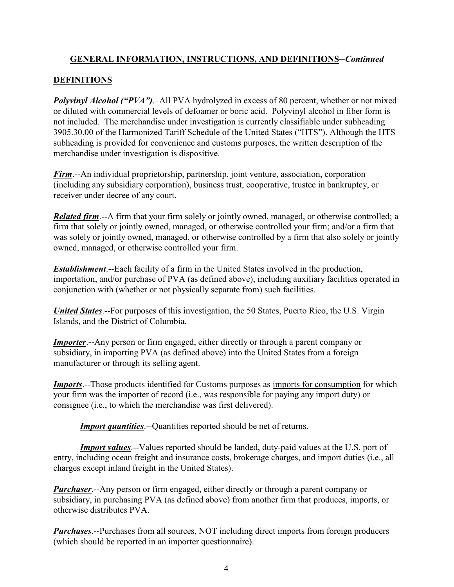# **DEFINITIONS**

*Polyvinyl Alcohol ("PVA")*.–All PVA hydrolyzed in excess of 80 percent, whether or not mixed or diluted with commercial levels of defoamer or boric acid. Polyvinyl alcohol in fiber form is not included. The merchandise under investigation is currently classifiable under subheading 3905.30.00 of the Harmonized Tariff Schedule of the United States ("HTS"). Although the HTS subheading is provided for convenience and customs purposes, the written description of the merchandise under investigation is dispositive.

*Firm*.--An individual proprietorship, partnership, joint venture, association, corporation (including any subsidiary corporation), business trust, cooperative, trustee in bankruptcy, or receiver under decree of any court.

*Related firm*.--A firm that your firm solely or jointly owned, managed, or otherwise controlled; a firm that solely or jointly owned, managed, or otherwise controlled your firm; and/or a firm that was solely or jointly owned, managed, or otherwise controlled by a firm that also solely or jointly owned, managed, or otherwise controlled your firm.

*Establishment*.--Each facility of a firm in the United States involved in the production, importation, and/or purchase of PVA (as defined above), including auxiliary facilities operated in conjunction with (whether or not physically separate from) such facilities.

*United States*.--For purposes of this investigation, the 50 States, Puerto Rico, the U.S. Virgin Islands, and the District of Columbia.

*Importer*.--Any person or firm engaged, either directly or through a parent company or subsidiary, in importing PVA (as defined above) into the United States from a foreign manufacturer or through its selling agent.

*Imports*.--Those products identified for Customs purposes as imports for consumption for which your firm was the importer of record (i.e., was responsible for paying any import duty) or consignee (i.e., to which the merchandise was first delivered).

*Import quantities*.--Quantities reported should be net of returns.

*Import values*.--Values reported should be landed, duty-paid values at the U.S. port of entry, including ocean freight and insurance costs, brokerage charges, and import duties (i.e., all charges except inland freight in the United States).

*Purchaser*.--Any person or firm engaged, either directly or through a parent company or subsidiary, in purchasing PVA (as defined above) from another firm that produces, imports, or otherwise distributes PVA.

*Purchases*.--Purchases from all sources, NOT including direct imports from foreign producers (which should be reported in an importer questionnaire).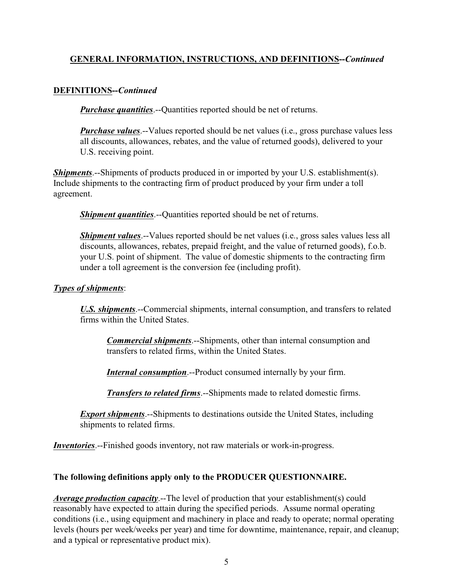#### **DEFINITIONS--***Continued*

*Purchase quantities*.--Quantities reported should be net of returns.

*Purchase values*.--Values reported should be net values (i.e., gross purchase values less all discounts, allowances, rebates, and the value of returned goods), delivered to your U.S. receiving point.

**Shipments**.--Shipments of products produced in or imported by your U.S. establishment(s). Include shipments to the contracting firm of product produced by your firm under a toll agreement.

*Shipment quantities*.--Quantities reported should be net of returns.

*Shipment values*.--Values reported should be net values (i.e., gross sales values less all discounts, allowances, rebates, prepaid freight, and the value of returned goods), f.o.b. your U.S. point of shipment. The value of domestic shipments to the contracting firm under a toll agreement is the conversion fee (including profit).

#### *Types of shipments*:

U.S. *shipments*.--Commercial shipments, internal consumption, and transfers to related firms within the United States.

*Commercial shipments*.--Shipments, other than internal consumption and transfers to related firms, within the United States.

*Internal consumption*.--Product consumed internally by your firm.

*Transfers to related firms*.--Shipments made to related domestic firms.

*Export shipments*.--Shipments to destinations outside the United States, including shipments to related firms.

*Inventories*.--Finished goods inventory, not raw materials or work-in-progress.

#### **The following definitions apply only to the PRODUCER QUESTIONNAIRE.**

*Average production capacity*.--The level of production that your establishment(s) could reasonably have expected to attain during the specified periods. Assume normal operating conditions (i.e., using equipment and machinery in place and ready to operate; normal operating levels (hours per week/weeks per year) and time for downtime, maintenance, repair, and cleanup; and a typical or representative product mix).